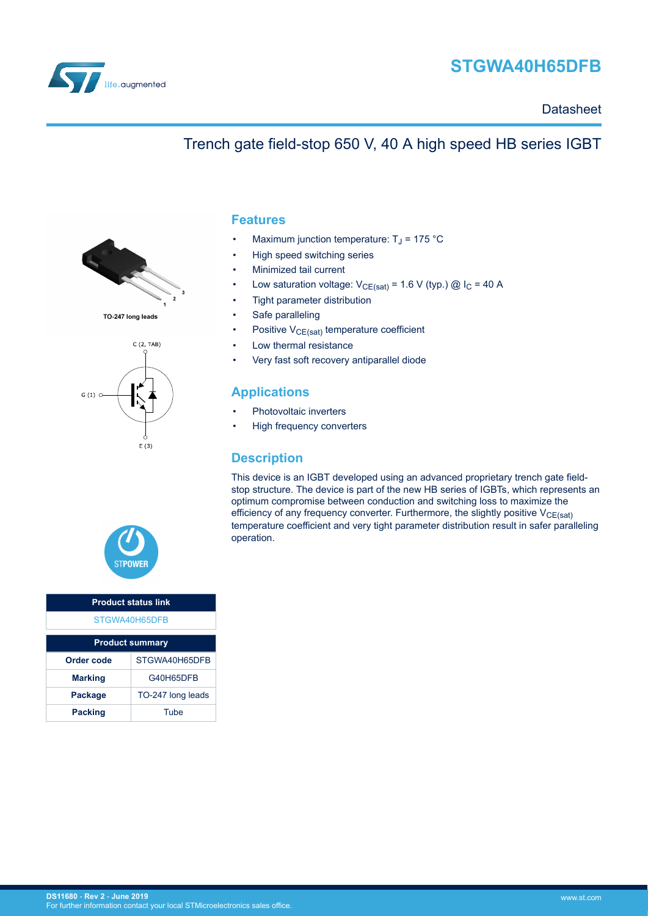

## **STGWA40H65DFB**

**Datasheet** 

## Trench gate field-stop 650 V, 40 A high speed HB series IGBT



TO-247 long leads





| <b>Product status link</b> |                   |  |  |  |
|----------------------------|-------------------|--|--|--|
| STGWA40H65DFB              |                   |  |  |  |
|                            |                   |  |  |  |
| <b>Product summary</b>     |                   |  |  |  |
| Order code                 | STGWA40H65DFB     |  |  |  |
| <b>Marking</b>             | G40H65DFB         |  |  |  |
| Package                    | TO-247 long leads |  |  |  |
| <b>Packing</b>             | Tube              |  |  |  |

### **Features**

- Maximum junction temperature:  $T_J$  = 175 °C
- High speed switching series
- Minimized tail current
- Low saturation voltage:  $V_{CE(sat)} = 1.6 V$  (typ.) @  $I_C = 40 A$
- Tight parameter distribution
- Safe paralleling
- Positive  $V_{CE(sat)}$  temperature coefficient
- Low thermal resistance
- Very fast soft recovery antiparallel diode

### **Applications**

- Photovoltaic inverters
- High frequency converters

### **Description**

This device is an IGBT developed using an advanced proprietary trench gate fieldstop structure. The device is part of the new HB series of IGBTs, which represents an optimum compromise between conduction and switching loss to maximize the efficiency of any frequency converter. Furthermore, the slightly positive  $V_{CE(sat)}$ temperature coefficient and very tight parameter distribution result in safer paralleling operation.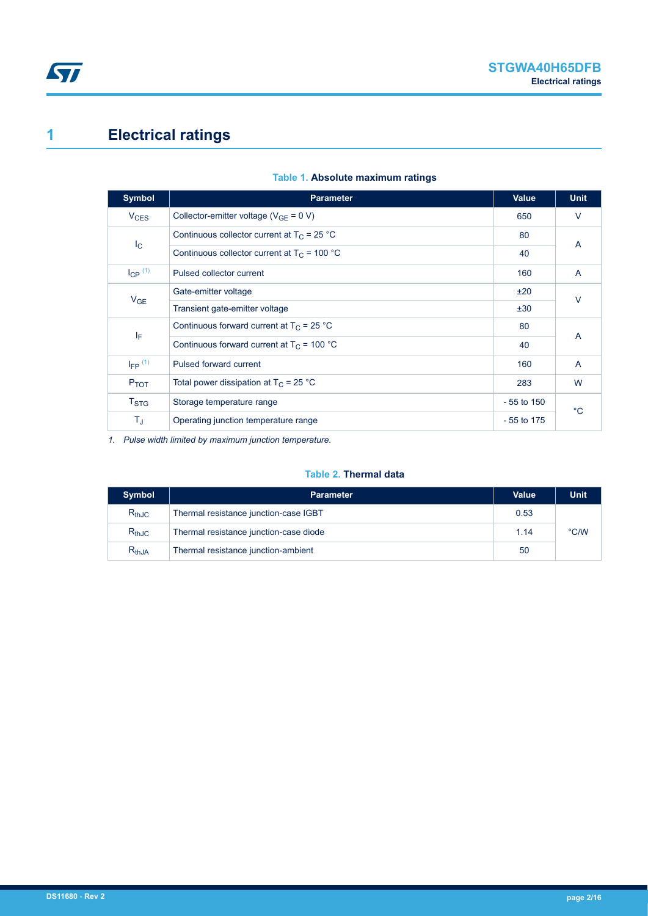# <span id="page-1-0"></span>**1 Electrical ratings**

| <b>Symbol</b>    | <b>Parameter</b>                               | <b>Value</b> | <b>Unit</b>    |  |
|------------------|------------------------------------------------|--------------|----------------|--|
| $V_{CES}$        | Collector-emitter voltage ( $V_{GF} = 0 V$ )   | 650          | $\vee$         |  |
|                  | Continuous collector current at $T_C = 25 °C$  | 80           |                |  |
| $I_{\rm C}$      | Continuous collector current at $T_c$ = 100 °C | 40           | A              |  |
| $I_{CP}$ $(1)$   | Pulsed collector current                       | 160          | A              |  |
| V <sub>GE</sub>  | Gate-emitter voltage                           | ±20          | $\vee$         |  |
|                  | Transient gate-emitter voltage                 | ±30          |                |  |
|                  | Continuous forward current at $T_C = 25 °C$    | 80           | A              |  |
| ΙF               | Continuous forward current at $T_c$ = 100 °C   | 40           |                |  |
| $I_{FP}$ (1)     | Pulsed forward current                         | 160          | $\overline{A}$ |  |
| $P_{TOT}$        | Total power dissipation at $T_C = 25 °C$       | 283          | W              |  |
| T <sub>STG</sub> | Storage temperature range                      | $-55$ to 150 | $^{\circ}C$    |  |
| $T_{\text{J}}$   | Operating junction temperature range           | $-55$ to 175 |                |  |

### **Table 1. Absolute maximum ratings**

*1. Pulse width limited by maximum junction temperature.*

### **Table 2. Thermal data**

| <b>Symbol</b> | <b>Parameter</b>                       | <b>Value</b> | <b>Unit</b> |
|---------------|----------------------------------------|--------------|-------------|
| $R_{th,IC}$   | Thermal resistance junction-case IGBT  | 0.53         |             |
| $R_{thJC}$    | Thermal resistance junction-case diode | 1.14         | °C/W        |
| $R_{th,JA}$   | Thermal resistance junction-ambient    | 50           |             |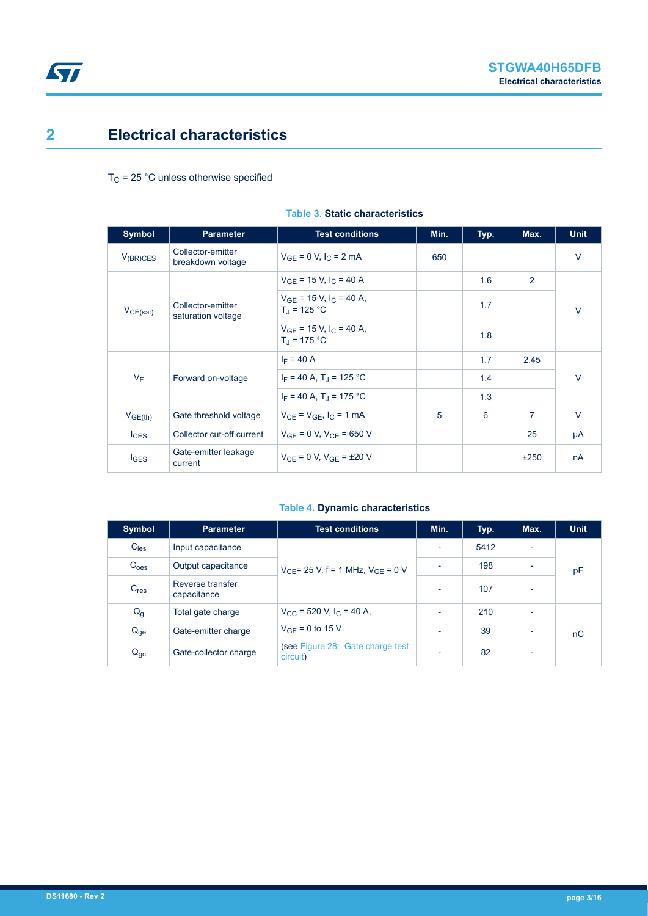## <span id="page-2-0"></span>**2 Electrical characteristics**

 $T_C$  = 25 °C unless otherwise specified

| Symbol           | <b>Parameter</b>                        | <b>Test conditions</b>                                          | Min. | Typ. | Max. | <b>Unit</b> |
|------------------|-----------------------------------------|-----------------------------------------------------------------|------|------|------|-------------|
| $V_{(BR)CES}$    | Collector-emitter<br>breakdown voltage  | $V_{GF} = 0 V, IC = 2 mA$                                       | 650  |      |      | $\vee$      |
|                  |                                         | $V_{GF}$ = 15 V, I <sub>C</sub> = 40 A                          |      | 1.6  | 2    |             |
| $V_{CE(sat)}$    | Collector-emitter<br>saturation voltage | $V_{GF}$ = 15 V, I <sub>C</sub> = 40 A,<br>$T_{d}$ = 125 °C     |      | 1.7  |      | $\vee$      |
|                  |                                         | $V_{GF}$ = 15 V, I <sub>C</sub> = 40 A,<br>$T_{\rm d}$ = 175 °C |      | 1.8  |      |             |
|                  | Forward on-voltage                      | $I_F = 40 A$                                                    |      | 1.7  | 2.45 |             |
| $V_F$            |                                         | $I_F = 40 A$ , T <sub>J</sub> = 125 °C                          |      | 1.4  |      | $\vee$      |
|                  |                                         | $I_F = 40 A$ , T <sub>J</sub> = 175 °C                          |      | 1.3  |      |             |
| $V_{GE(th)}$     | Gate threshold voltage                  | $V_{CF} = V_{GF}$ , $I_C = 1$ mA                                | 5    | 6    | 7    | $\vee$      |
| lc <sub>ES</sub> | Collector cut-off current               | $V_{GF} = 0 V, V_{CF} = 650 V$                                  |      |      | 25   | μA          |
| $I_{\text{GES}}$ | Gate-emitter leakage<br>current         | $V_{CF} = 0 V$ , $V_{GF} = \pm 20 V$                            |      |      | ±250 | nA          |

### **Table 3. Static characteristics**

### **Table 4. Dynamic characteristics**

| Symbol           | <b>Parameter</b>                | <b>Test conditions</b>                                   | Min.                     | Typ. | Max.                     | <b>Unit</b> |
|------------------|---------------------------------|----------------------------------------------------------|--------------------------|------|--------------------------|-------------|
| $C_{\text{ies}}$ | Input capacitance               |                                                          | $\overline{\phantom{a}}$ | 5412 | $\overline{\phantom{0}}$ |             |
| C <sub>oes</sub> | Output capacitance              | $V_{\text{CE}}$ = 25 V, f = 1 MHz, $V_{\text{GE}}$ = 0 V | $\overline{\phantom{a}}$ | 198  | $\overline{\phantom{0}}$ | pF          |
| C <sub>res</sub> | Reverse transfer<br>capacitance |                                                          | ٠                        | 107  | ٠                        |             |
| $Q_g$            | Total gate charge               | $V_{\rm CC}$ = 520 V, I <sub>C</sub> = 40 A,             | $\overline{\phantom{0}}$ | 210  | ٠                        |             |
| $Q_{ge}$         | Gate-emitter charge             | $V_{GF} = 0$ to 15 V                                     | $\overline{\phantom{a}}$ | 39   | $\overline{\phantom{0}}$ | nC          |
| $Q_{gc}$         | Gate-collector charge           | (see Figure 28. Gate charge test<br>circuit)             | $\overline{\phantom{0}}$ | 82   | $\overline{\phantom{a}}$ |             |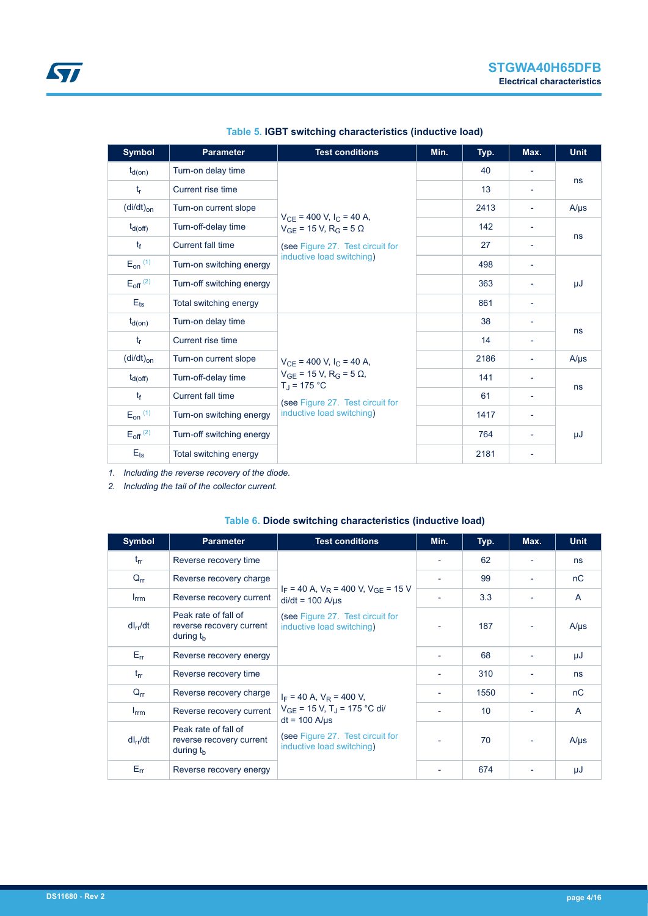<span id="page-3-0"></span>

| <b>Symbol</b>            | <b>Parameter</b>          | <b>Test conditions</b>                                                            | Min. | Typ. | Max.                     | <b>Unit</b> |
|--------------------------|---------------------------|-----------------------------------------------------------------------------------|------|------|--------------------------|-------------|
| $t_{d(on)}$              | Turn-on delay time        |                                                                                   |      | 40   | $\overline{\phantom{a}}$ |             |
| $t_{\rm r}$              | Current rise time         |                                                                                   |      | 13   | $\overline{\phantom{a}}$ | ns          |
| $(di/dt)_{on}$           | Turn-on current slope     |                                                                                   |      | 2413 |                          | $A/\mu s$   |
| $t_{d(Off)}$             | Turn-off-delay time       | $V_{CE}$ = 400 V, I <sub>C</sub> = 40 A,<br>$V_{GF}$ = 15 V, R <sub>G</sub> = 5 Ω |      | 142  | $\overline{\phantom{a}}$ |             |
| tr                       | Current fall time         | (see Figure 27. Test circuit for                                                  |      | 27   | $\overline{\phantom{a}}$ | ns          |
| $E_{on}$ (1)             | Turn-on switching energy  | inductive load switching)                                                         |      | 498  |                          |             |
| $E_{off}$ <sup>(2)</sup> | Turn-off switching energy |                                                                                   |      | 363  |                          | μJ          |
| $E_{ts}$                 | Total switching energy    |                                                                                   |      | 861  |                          |             |
| $t_{d(0n)}$              | Turn-on delay time        |                                                                                   |      | 38   | $\overline{\phantom{a}}$ |             |
| $t_{\rm r}$              | Current rise time         |                                                                                   |      | 14   |                          | ns          |
| $(di/dt)_{on}$           | Turn-on current slope     | $V_{CE}$ = 400 V, I <sub>C</sub> = 40 A,                                          |      | 2186 |                          | $A/\mu s$   |
| $t_{d(Off)}$             | Turn-off-delay time       | $V_{GE}$ = 15 V, R <sub>G</sub> = 5 $\Omega$ ,<br>$T_{\rm d}$ = 175 °C            |      | 141  | $\overline{\phantom{a}}$ |             |
| $t_{\rm f}$              | Current fall time         | (see Figure 27. Test circuit for                                                  |      | 61   |                          | ns          |
| $E_{on}$ $(1)$           | Turn-on switching energy  | inductive load switching)                                                         |      | 1417 |                          |             |
| $E_{off}$ <sup>(2)</sup> | Turn-off switching energy |                                                                                   |      | 764  |                          | μJ          |
| $E_{\text{ts}}$          | Total switching energy    |                                                                                   |      | 2181 |                          |             |

**Table 5. IGBT switching characteristics (inductive load)**

*1. Including the reverse recovery of the diode.*

*2. Including the tail of the collector current.*

| <b>Symbol</b>    | <b>Parameter</b>                                                | <b>Test conditions</b>                                                                                                                 | Min. | Typ. | Max. | <b>Unit</b>  |
|------------------|-----------------------------------------------------------------|----------------------------------------------------------------------------------------------------------------------------------------|------|------|------|--------------|
| $t_{rr}$         | Reverse recovery time                                           |                                                                                                                                        |      | 62   |      | ns           |
| $Q_{rr}$         | Reverse recovery charge                                         |                                                                                                                                        |      | 99   |      | nC           |
| $I_{\text{rrm}}$ | Reverse recovery current                                        | $I_F$ = 40 A, $V_R$ = 400 V, $V_{GF}$ = 15 V<br>$di/dt = 100$ A/ $\mu$ s                                                               |      | 3.3  |      | $\mathsf{A}$ |
| $dl_{rr}/dt$     | Peak rate of fall of<br>reverse recovery current<br>during $th$ | (see Figure 27. Test circuit for<br>inductive load switching)                                                                          |      | 187  |      | $A/\mu s$    |
| $E_{rr}$         | Reverse recovery energy                                         |                                                                                                                                        |      | 68   |      | μJ           |
| $t_{rr}$         | Reverse recovery time                                           |                                                                                                                                        |      | 310  |      | ns           |
| $Q_{rr}$         | Reverse recovery charge                                         | $I_F = 40$ A, $V_R = 400$ V,                                                                                                           |      | 1550 |      | nC           |
| $I_{\text{rrm}}$ | Reverse recovery current                                        | $V_{GF}$ = 15 V, T <sub>J</sub> = 175 °C di/<br>$dt = 100$ A/ $\mu$ s<br>(see Figure 27. Test circuit for<br>inductive load switching) |      | 10   |      | $\mathsf{A}$ |
| $dl_{rr}/dt$     | Peak rate of fall of<br>reverse recovery current<br>during $th$ |                                                                                                                                        |      | 70   |      | $A/\mu s$    |
| $E_{rr}$         | Reverse recovery energy                                         |                                                                                                                                        |      | 674  |      | μJ           |

|  | Table 6. Diode switching characteristics (inductive load) |  |
|--|-----------------------------------------------------------|--|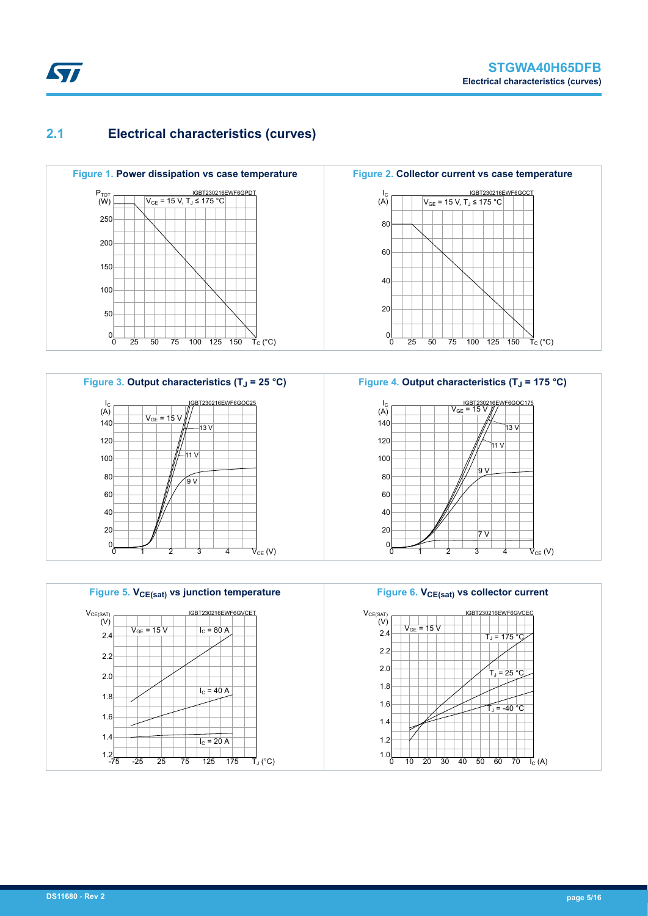## **2.1 Electrical characteristics (curves)**











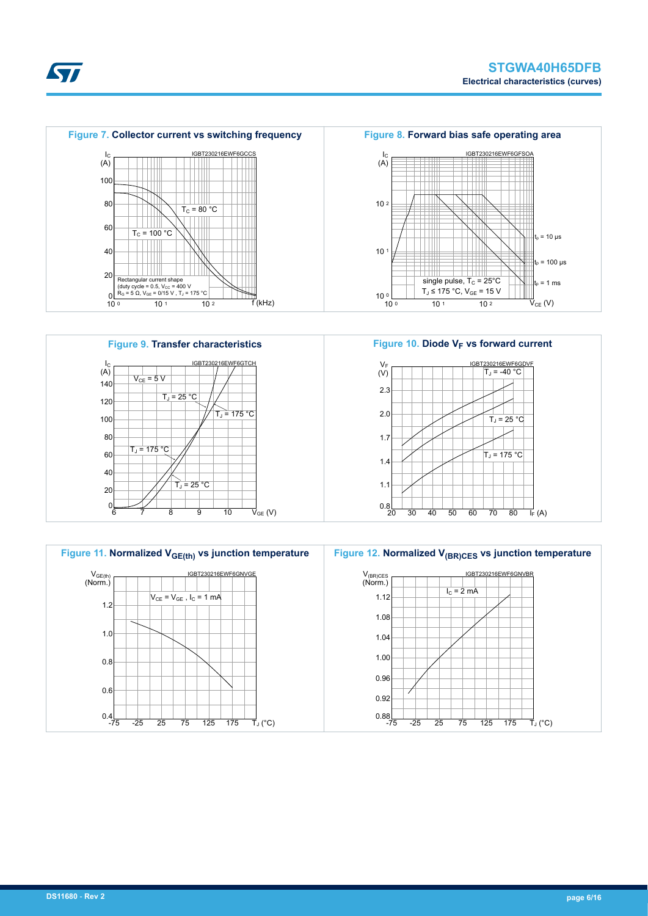









**STI**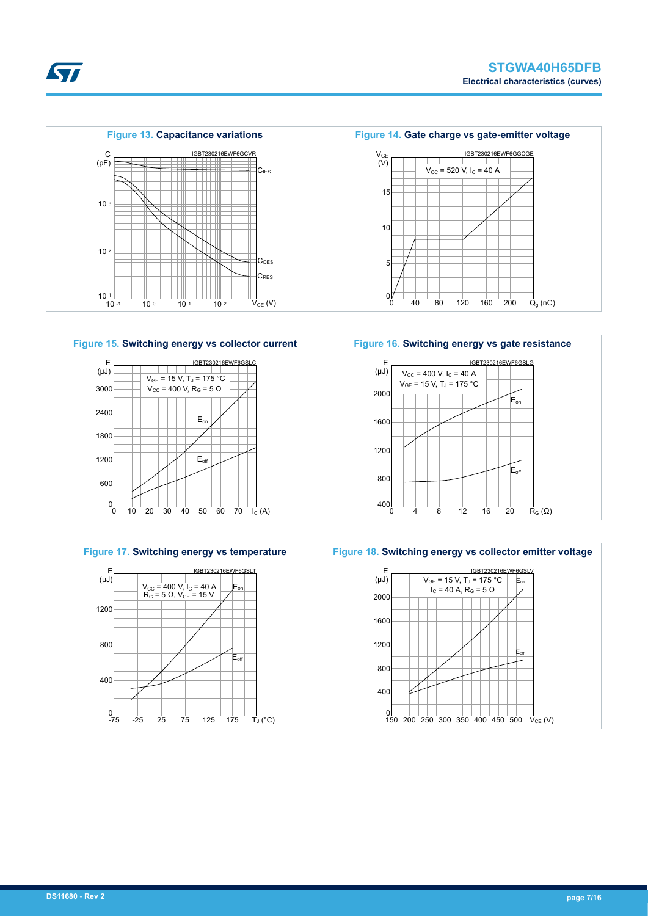



**Figure 16. Switching energy vs gate resistance**





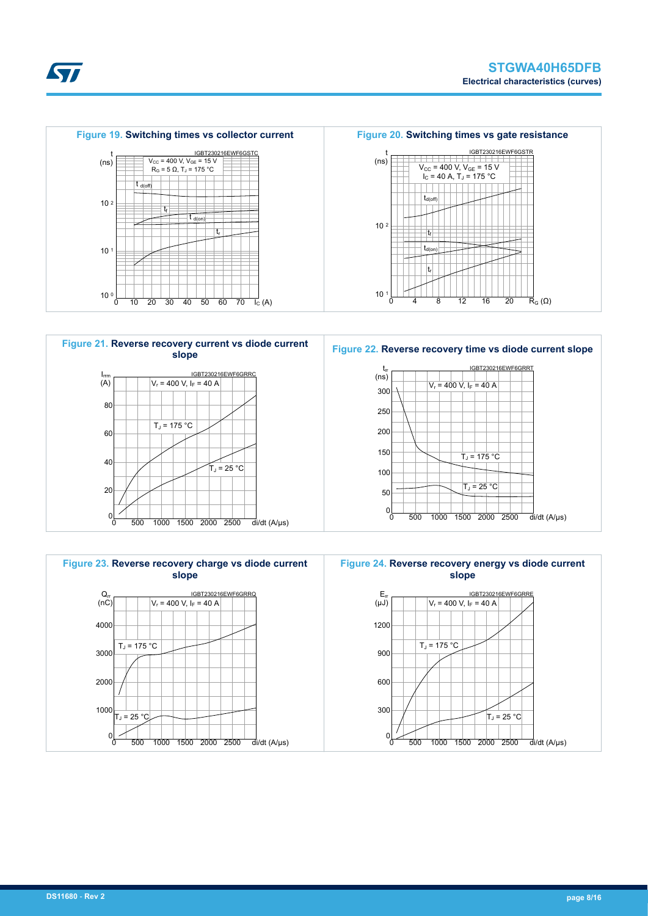





**Kyr**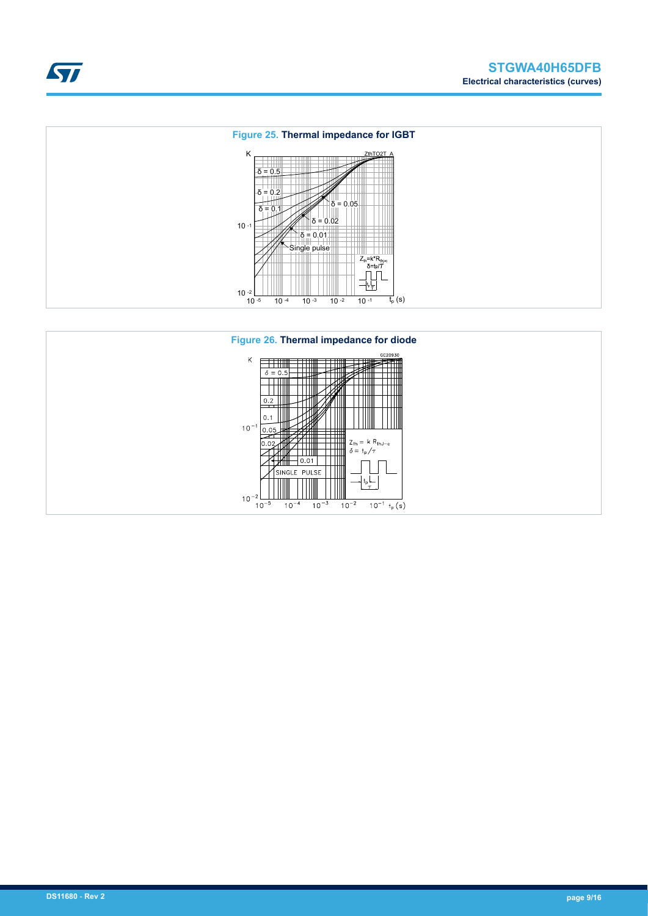



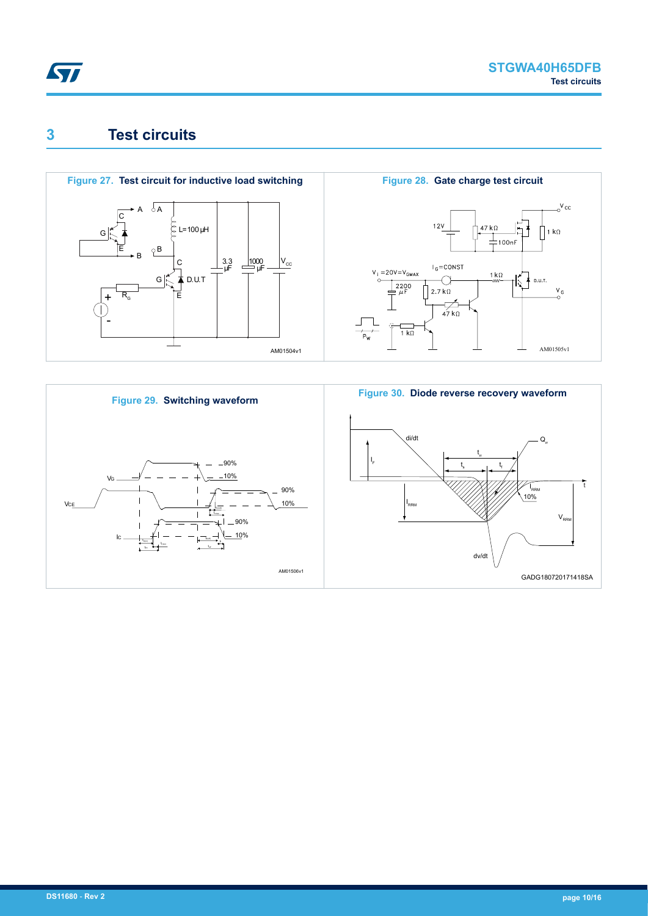<span id="page-9-0"></span>

## **3 Test circuits**



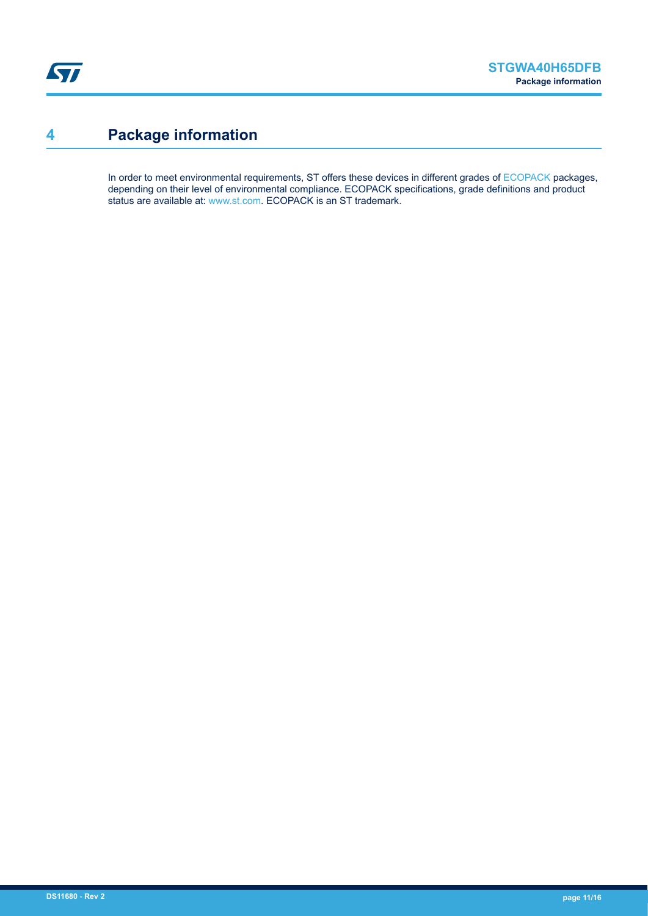## <span id="page-10-0"></span>**4 Package information**

In order to meet environmental requirements, ST offers these devices in different grades of [ECOPACK](https://www.st.com/ecopack) packages, depending on their level of environmental compliance. ECOPACK specifications, grade definitions and product status are available at: [www.st.com.](http://www.st.com) ECOPACK is an ST trademark.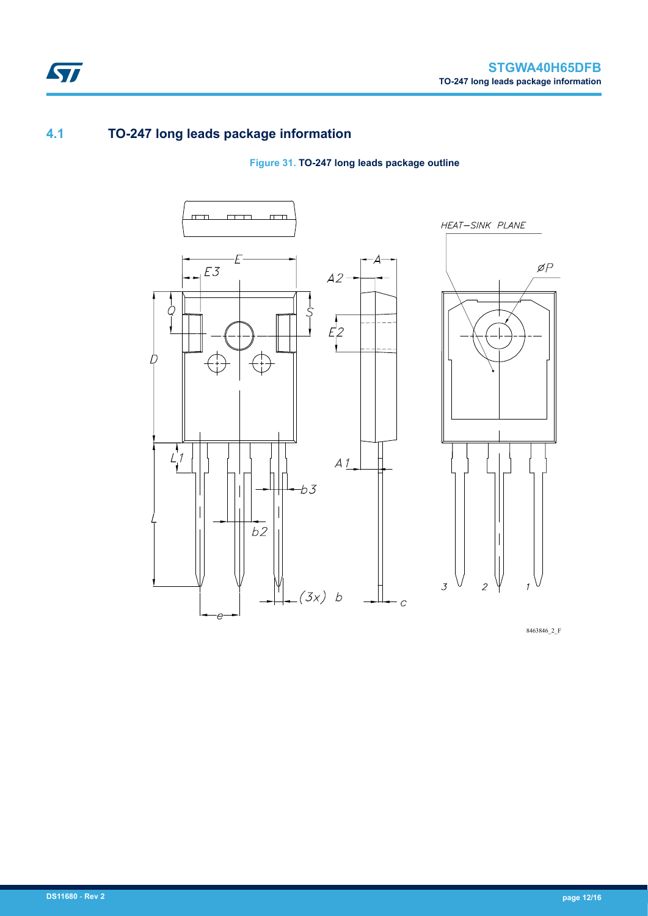## **4.1 TO-247 long leads package information**

### **Figure 31. TO-247 long leads package outline**



8463846\_2\_F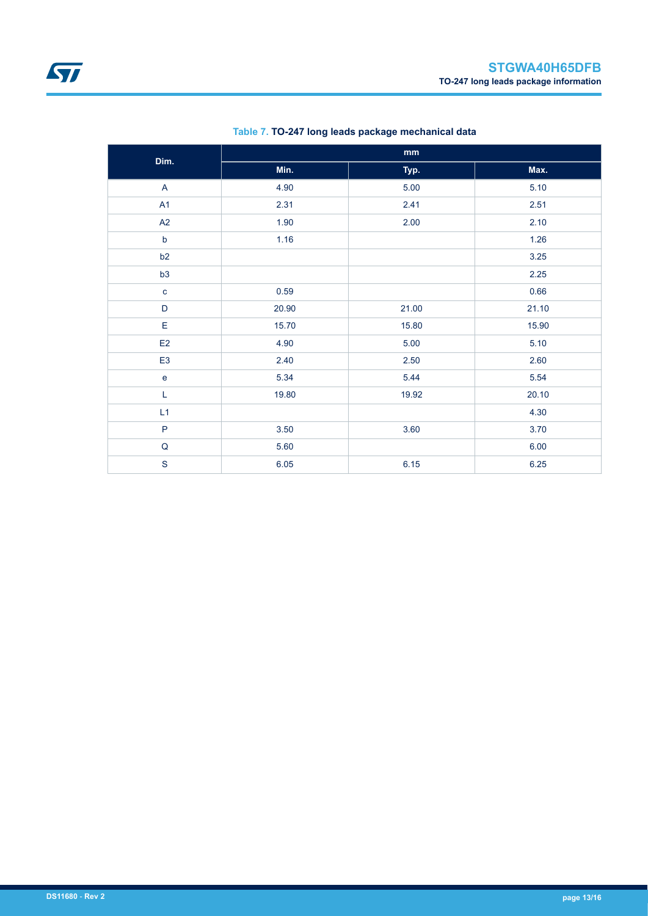| Dim.           |       | $\mathop{\text{mm}}\nolimits$ |       |
|----------------|-------|-------------------------------|-------|
|                | Min.  | Typ.                          | Max.  |
| $\mathsf{A}$   | 4.90  | 5.00                          | 5.10  |
| A1             | 2.31  | 2.41                          | 2.51  |
| A2             | 1.90  | 2.00                          | 2.10  |
| $\mathsf b$    | 1.16  |                               | 1.26  |
| b2             |       |                               | 3.25  |
| b3             |       |                               | 2.25  |
| $\mathbf{C}$   | 0.59  |                               | 0.66  |
| D              | 20.90 | 21.00                         | 21.10 |
| E              | 15.70 | 15.80                         | 15.90 |
| E2             | 4.90  | 5.00                          | 5.10  |
| E <sub>3</sub> | 2.40  | 2.50                          | 2.60  |
| $\mathbf e$    | 5.34  | 5.44                          | 5.54  |
| L              | 19.80 | 19.92                         | 20.10 |
| L1             |       |                               | 4.30  |
| $\mathsf P$    | 3.50  | 3.60                          | 3.70  |
| $\sf Q$        | 5.60  |                               | 6.00  |
| $\mathbf S$    | 6.05  | 6.15                          | 6.25  |

### **Table 7. TO-247 long leads package mechanical data**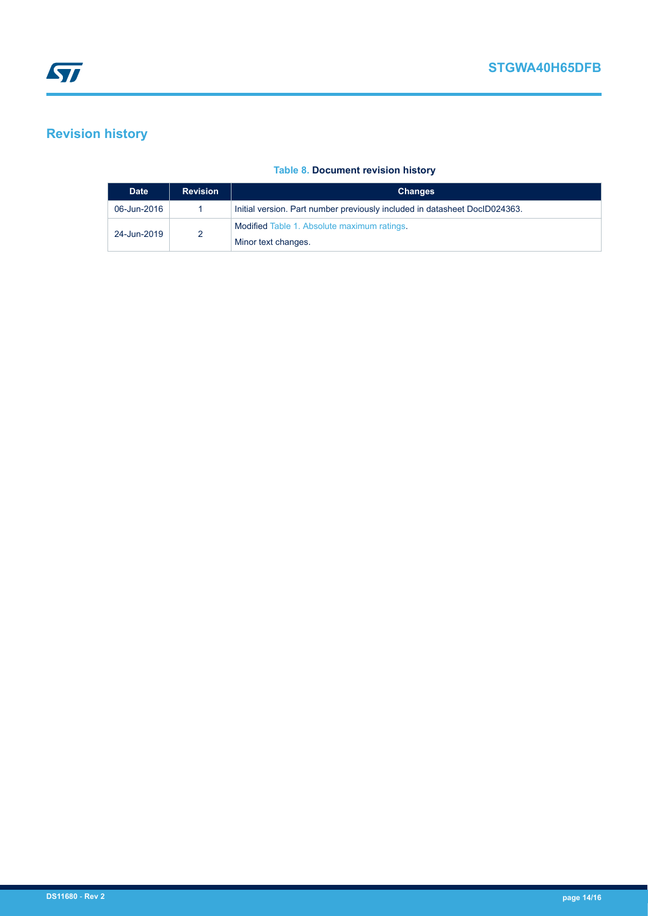## <span id="page-13-0"></span>**Revision history**

### **Table 8. Document revision history**

| <b>Date</b> | <b>Revision</b> | <b>Changes</b>                                                             |
|-------------|-----------------|----------------------------------------------------------------------------|
| 06-Jun-2016 |                 | Initial version. Part number previously included in datasheet DocID024363. |
| 24-Jun-2019 | 2               | Modified Table 1. Absolute maximum ratings.<br>Minor text changes.         |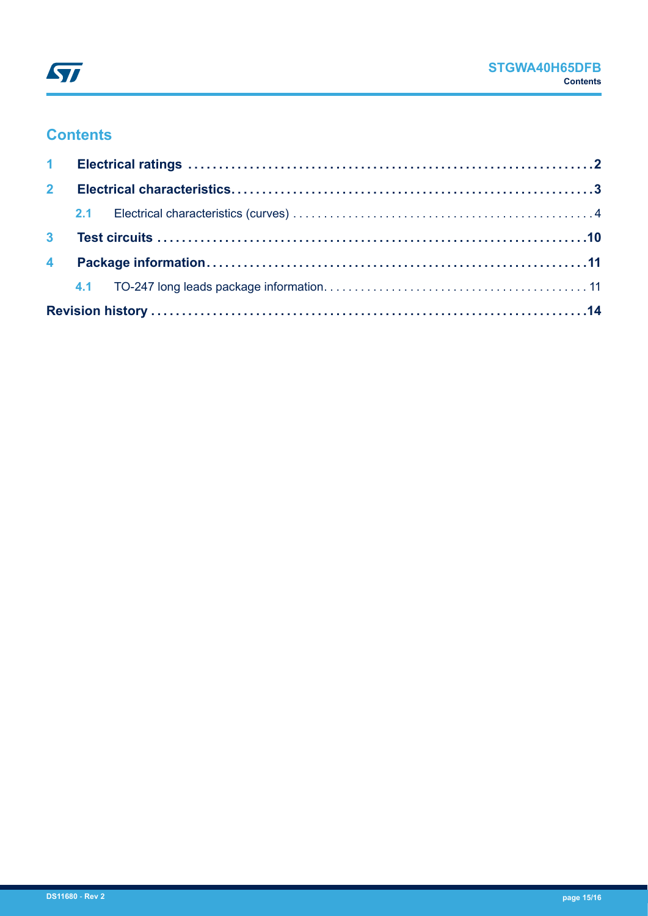

## **Contents**

| $2^{\circ}$ |  |  |  |  |  |  |
|-------------|--|--|--|--|--|--|
|             |  |  |  |  |  |  |
|             |  |  |  |  |  |  |
|             |  |  |  |  |  |  |
|             |  |  |  |  |  |  |
|             |  |  |  |  |  |  |